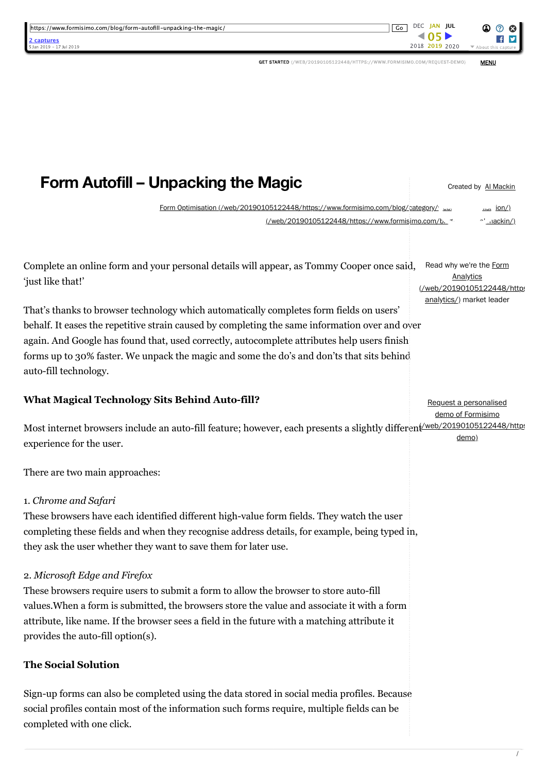| https://www.formisimo.com/blog/form-autofill-unpacking-the-magic/<br>captures<br>Jan 2019 - 17 Jul 2019                                                                                                                                                                                                                                                                               | Go                                                                                                                                   | DEC JAN JUL<br>2018 2019 2020                                      | About this                                                                       |
|---------------------------------------------------------------------------------------------------------------------------------------------------------------------------------------------------------------------------------------------------------------------------------------------------------------------------------------------------------------------------------------|--------------------------------------------------------------------------------------------------------------------------------------|--------------------------------------------------------------------|----------------------------------------------------------------------------------|
|                                                                                                                                                                                                                                                                                                                                                                                       | GET STARTED (/WEB/20190105122448/HTTPS://WWW.FORMISIMO.COM/REQUEST-DEMO)                                                             |                                                                    | <b>MENU</b>                                                                      |
|                                                                                                                                                                                                                                                                                                                                                                                       |                                                                                                                                      |                                                                    |                                                                                  |
| <b>Form Autofill – Unpacking the Magic</b>                                                                                                                                                                                                                                                                                                                                            |                                                                                                                                      |                                                                    | Created by Al Mackin                                                             |
|                                                                                                                                                                                                                                                                                                                                                                                       |                                                                                                                                      |                                                                    |                                                                                  |
|                                                                                                                                                                                                                                                                                                                                                                                       | Form Optimisation (/web/20190105122448/https://www.formisimo.com/blog/category/<br>(/web/20190105122448/https://www.formisimo.com/b. |                                                                    | <u>, ion/)</u><br>$\sim$ $\cdot$ $\cdot$ $\cdot$ $\cdot$ $\cdot$ $\cdot$ $\cdot$ |
| Complete an online form and your personal details will appear, as Tommy Cooper once said,<br>'just like that!'                                                                                                                                                                                                                                                                        |                                                                                                                                      | Read why we're the Form<br>Analytics<br>(/web/20190105122448/https |                                                                                  |
| That's thanks to browser technology which automatically completes form fields on users'<br>behalf. It eases the repetitive strain caused by completing the same information over and over<br>again. And Google has found that, used correctly, autocomplete attributes help users finish<br>forms up to 30% faster. We unpack the magic and some the do's and don'ts that sits behind |                                                                                                                                      | analytics/) market leader                                          |                                                                                  |
| auto-fill technology.<br><b>What Magical Technology Sits Behind Auto-fill?</b>                                                                                                                                                                                                                                                                                                        |                                                                                                                                      | Request a personalised                                             |                                                                                  |

Most internet browsers include an auto-fill feature; however, each presents a slightly differen<del>t/web/20190105122448/https</del> experience for the user. demo)

There are two main approaches:

# 1. *Chrome and Safari*

These browsers have each identified different high-value form fields. They watch the user completing these fields and when they recognise address details, for example, being typed in, they ask the user whether they want to save them for later use.

# 2. *Microsoft Edge and Firefox*

These browsers require users to submit a form to allow the browser to store auto-fill values.When a form is submitted, the browsers store the value and associate it with a form attribute, like name. If the browser sees a field in the future with a matching attribute it provides the auto-fill option(s).

# **The Social Solution**

Sign-up forms can also be completed using the data stored in social media profiles. Because social profiles contain most of the information such forms require, multiple fields can be completed with one click.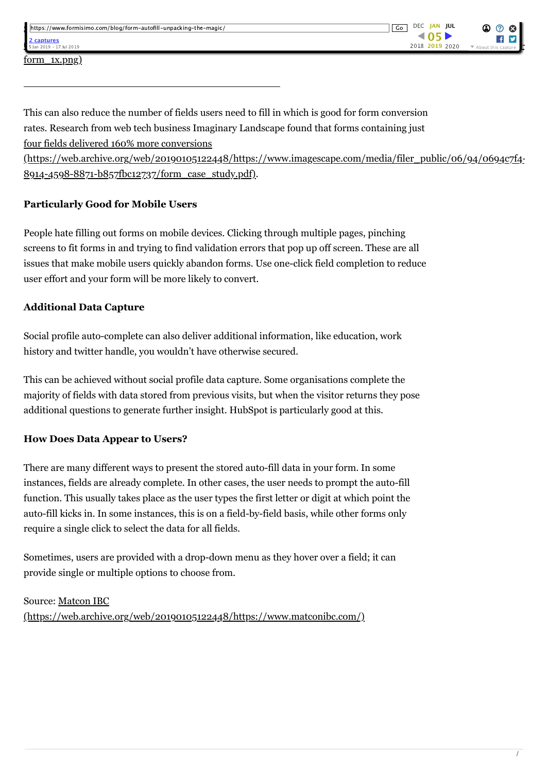| https://www.formisimo.com/blog/form-autofill-unpacking-the-magic/ | DEC JAN JUL<br>Go | $\mathbf{\odot} \odot \mathbf{\odot}$ |
|-------------------------------------------------------------------|-------------------|---------------------------------------|
| 2 captures<br>5 Jan 2019 - 17 Jul 2019                            | 2018 2019 2020    | ▼ About this capture                  |

This can also reduce the number of fields users need to fill in which is good for form conversion rates. Research from web tech business Imaginary Landscape found that forms containing just four fields delivered 160% more conversions

[\(https://web.archive.org/web/20190105122448/https://www.imagescape.com/media/filer\\_public/06/94/0694c7f4-](https://web.archive.org/web/20190105122448/https://www.imagescape.com/media/filer_public/06/94/0694c7f4-8914-4598-8871-b857fbc12737/form_case_study.pdf) 8914-4598-8871-b857fbc12737/form\_case\_study.pdf).

## **Particularly Good for Mobile Users**

People hate filling out forms on mobile devices. Clicking through multiple pages, pinching screens to fit forms in and trying to find validation errors that pop up off screen. These are all issues that make mobile users quickly abandon forms. Use one-click field completion to reduce user effort and your form will be more likely to convert.

### **Additional Data Capture**

Social profile auto-complete can also deliver additional information, like education, work history and twitter handle, you wouldn't have otherwise secured.

This can be achieved without social profile data capture. Some organisations complete the majority of fields with data stored from previous visits, but when the visitor returns they pose additional questions to generate further insight. HubSpot is particularly good at this.

### **How Does Data Appear to Users?**

There are many different ways to present the stored auto-fill data in your form. In some instances, fields are already complete. In other cases, the user needs to prompt the auto-fill function. This usually takes place as the user types the first letter or digit at which point the auto-fill kicks in. In some instances, this is on a field-by-field basis, while other forms only require a single click to select the data for all fields.

Sometimes, users are provided with a drop-down menu as they hover over a field; it can provide single or multiple options to choose from.

### Source: Matcon IBC

[\(https://web.archive.org/web/20190105122448/https://www.matconibc.com/\)](https://web.archive.org/web/20190105122448/https://www.matconibc.com/)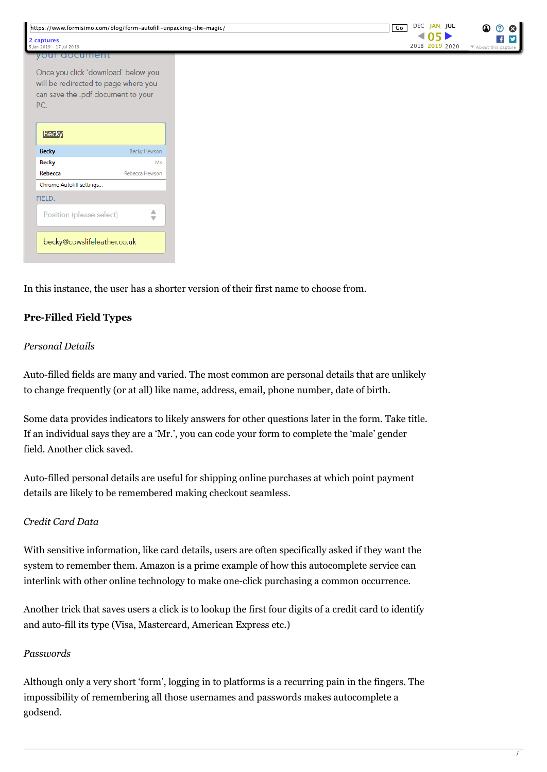|                                        | https://www.formisimo.com/blog/form-autofill-unpacking-the-magic/ |  | DEC JAN JUL<br>$\overline{G}$ |
|----------------------------------------|-------------------------------------------------------------------|--|-------------------------------|
| 2 captures<br>5 Jan 2019 - 17 Jul 2019 |                                                                   |  | 405<br>2018 2019 2020         |
| your aocument                          |                                                                   |  |                               |
|                                        |                                                                   |  |                               |
|                                        | Once you click 'download' below you                               |  |                               |
|                                        | will be redirected to page where you                              |  |                               |
|                                        | can save the .pdf document to your                                |  |                               |
| PC.                                    |                                                                   |  |                               |
|                                        |                                                                   |  |                               |
|                                        |                                                                   |  |                               |
|                                        |                                                                   |  |                               |
| <b>Becky</b>                           |                                                                   |  |                               |
| <b>Becky</b>                           | Becky Hewson                                                      |  |                               |
| <b>Becky</b>                           | Ms                                                                |  |                               |
| Rebecca                                | Rebecca Hewson                                                    |  |                               |
| Chrome Autofill settings               |                                                                   |  |                               |
| FIELD.                                 |                                                                   |  |                               |
|                                        |                                                                   |  |                               |
| Position (please select)               | △<br>Ŵ                                                            |  |                               |
|                                        |                                                                   |  |                               |
|                                        |                                                                   |  |                               |
| becky@cowslifeleather.co.uk            |                                                                   |  |                               |
|                                        |                                                                   |  |                               |
|                                        |                                                                   |  |                               |

In this instance, the user has a shorter version of their first name to choose from.

### **Pre-Filled Field Types**

#### *Personal Details*

Auto-filled fields are many and varied. The most common are personal details that are unlikely to change frequently (or at all) like name, address, email, phone number, date of birth.

Some data provides indicators to likely answers for other questions later in the form. Take title. If an individual says they are a 'Mr.', you can code your form to complete the 'male' gender field. Another click saved.

Auto-filled personal details are useful for shipping online purchases at which point payment details are likely to be remembered making checkout seamless.

#### *Credit Card Data*

With sensitive information, like card details, users are often specifically asked if they want the system to remember them. Amazon is a prime example of how this autocomplete service can interlink with other online technology to make one-click purchasing a common occurrence.

Another trick that saves users a click is to lookup the first four digits of a credit card to identify and auto-fill its type (Visa, Mastercard, American Express etc.)

#### *Passwords*

Although only a very short 'form', logging in to platforms is a recurring pain in the fingers. The impossibility of remembering all those usernames and passwords makes autocomplete a godsend.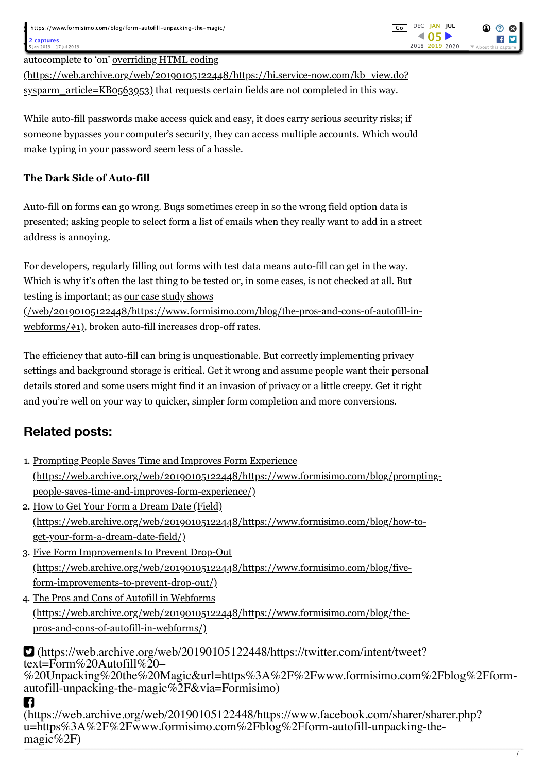autocomplete to 'on' overriding HTML coding

[\(https://web.archive.org/web/20190105122448/https://hi.service-now.com/kb\\_view.do?](https://web.archive.org/web/20190105122448/https://hi.service-now.com/kb_view.do?sysparm_article=KB0563953) sysparm\_article=KB0563953) that requests certain fields are not completed in this way.

While auto-fill passwords make access quick and easy, it does carry serious security risks; if someone bypasses your computer's security, they can access multiple accounts. Which would make typing in your password seem less of a hassle.

### **The Dark Side of Auto-fill**

Auto-fill on forms can go wrong. Bugs sometimes creep in so the wrong field option data is presented; asking people to select form a list of emails when they really want to add in a street address is annoying.

For developers, regularly filling out forms with test data means auto-fill can get in the way. Which is why it's often the last thing to be tested or, in some cases, is not checked at all. But testing is important; as our case study shows

[\(/web/20190105122448/https://www.formisimo.com/blog/the-pros-and-cons-of-autofill-in](https://web.archive.org/web/20190105122448/https://www.formisimo.com/blog/the-pros-and-cons-of-autofill-in-webforms/#1)webforms/#1), broken auto-fill increases drop-off rates.

The efficiency that auto-fill can bring is unquestionable. But correctly implementing privacy settings and background storage is critical. Get it wrong and assume people want their personal details stored and some users might find it an invasion of privacy or a little creepy. Get it right and you're well on your way to quicker, simpler form completion and more conversions.

# **Related posts:**

- 1. Prompting People Saves Time and Improves Form Experience [\(https://web.archive.org/web/20190105122448/https://www.formisimo.com/blog/prompting](https://web.archive.org/web/20190105122448/https://www.formisimo.com/blog/prompting-people-saves-time-and-improves-form-experience/)people-saves-time-and-improves-form-experience/)
- 2. How to Get Your Form a Dream Date (Field) [\(https://web.archive.org/web/20190105122448/https://www.formisimo.com/blog/how-to](https://web.archive.org/web/20190105122448/https://www.formisimo.com/blog/how-to-get-your-form-a-dream-date-field/)get-your-form-a-dream-date-field/)
- 3. Five Form Improvements to Prevent Drop-Out [\(https://web.archive.org/web/20190105122448/https://www.formisimo.com/blog/five](https://web.archive.org/web/20190105122448/https://www.formisimo.com/blog/five-form-improvements-to-prevent-drop-out/)form-improvements-to-prevent-drop-out/)
- 4. The Pros and Cons of Autofill in Webforms [\(https://web.archive.org/web/20190105122448/https://www.formisimo.com/blog/the](https://web.archive.org/web/20190105122448/https://www.formisimo.com/blog/the-pros-and-cons-of-autofill-in-webforms/)pros-and-cons-of-autofill-in-webforms/)

 (https://web.archive.org/web/20190105122448/https://twitter.com/intent/tweet? text=Form%20Autofill%20–<br>[%20Unpacking%20the%20Magic&url=https%3A%2F%2Fwww.formisimo.com%2Fblog%2Fform](https://web.archive.org/web/20190105122448/https://twitter.com/intent/tweet?text=Form%20Autofill%20%E2%80%93%20Unpacking%20the%20Magic&url=https%3A%2F%2Fwww.formisimo.com%2Fblog%2Fform-autofill-unpacking-the-magic%2F&via=Formisimo)autofill-unpacking-the-magic%2F&via=Formisimo) n

[\(https://web.archive.org/web/20190105122448/https://www.facebook.com/sharer/sharer.php?](https://web.archive.org/web/20190105122448/https://www.facebook.com/sharer/sharer.php?u=https%3A%2F%2Fwww.formisimo.com%2Fblog%2Fform-autofill-unpacking-the-magic%2F) u=https%3A%2F%2Fwww.formisimo.com%2Fblog%2Fform-autofill-unpacking-the- magic%2F)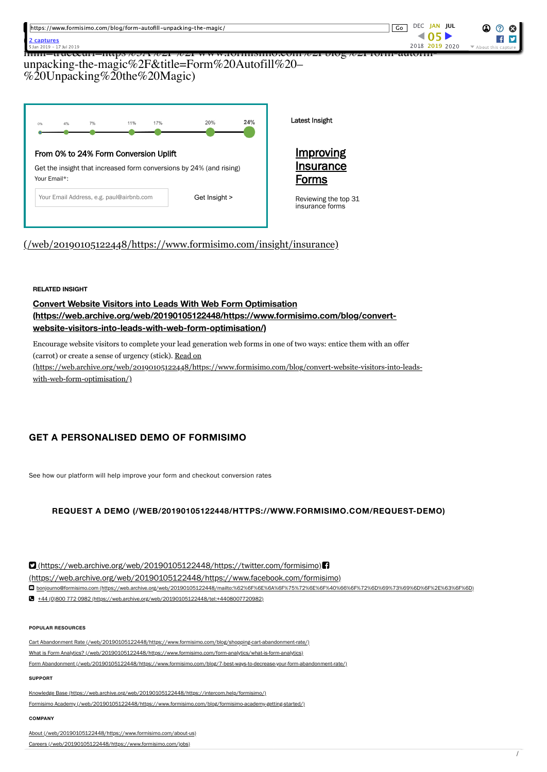| https://www.formisimo.com/blog/form-autofill-unpacking-the-magic/<br>2 captures<br>5 Jan 2019 - 17 Jul 2019 | DEC JAN JUL<br>Go<br>Ω<br>(?)<br>א ∩י<br>2018 2019 2020<br>▼ About this capture |  |  |  |  |  |  |
|-------------------------------------------------------------------------------------------------------------|---------------------------------------------------------------------------------|--|--|--|--|--|--|
| Imm=u uc∝ur.<br>unpacking-the-magic%2F&title=Form%20Autofill%20-<br>%20Unpacking%20the%20Magic)             |                                                                                 |  |  |  |  |  |  |
|                                                                                                             |                                                                                 |  |  |  |  |  |  |
| 24%<br>20%<br>17%<br>11%<br>7%<br>4%<br>0%                                                                  | Latest Insight                                                                  |  |  |  |  |  |  |
| From 0% to 24% Form Conversion Uplift                                                                       | <u>Improving</u>                                                                |  |  |  |  |  |  |

Forms

Reviewing the top 31 insurance forms

#### [Formisimo Academy \(/web/20190105122448/https://www.formisimo.com/blog/formisimo-academy-getting-started/\)](https://web.archive.org/web/20190105122448/https://www.formisimo.com/blog/formisimo-academy-getting-started/)

**POPULAR RESOURCES**

**COMPANY**

**SUPPORT**

Your Email Address, e.g. paul@airbnb.com Get Insight >

[\(/web/20190105122448/https://www.formisimo.com/insight/insurance\)](https://web.archive.org/web/20190105122448/https://www.formisimo.com/insight/insurance)

**[\(https://web.archive.org/web/20190105122448/https://www.formisimo.com/blog/convert-](https://web.archive.org/web/20190105122448/https://www.formisimo.com/blog/convert-website-visitors-into-leads-with-web-form-optimisation/)**

Encourage website visitors to complete your lead generation web forms in one of two ways: entice them with an offer

[\(https://web.archive.org/web/20190105122448/https://www.formisimo.com/blog/convert-website-visitors-into-leads-](https://web.archive.org/web/20190105122448/https://www.formisimo.com/blog/convert-website-visitors-into-leads-with-web-form-optimisation/)

**Convert Website Visitors into Leads With Web Form Optimisation**

**website-visitors-into-leads-with-web-form-optimisation/)**

**GET A PERSONALISED DEMO OF FORMISIMO**

(carrot) or create a sense of urgency (stick). Read on

with-web-form-optimisation/)

See how our platform will help improve your form and checkout conversion rates

[+44 \(0\)800 772 0982 \(https://web.archive.org/web/20190105122448/tel:+4408007720982\)](https://web.archive.org/web/20190105122448/tel:+4408007720982)

[Knowledge Base \(https://web.archive.org/web/20190105122448/https://intercom.help/formisimo/\)](https://web.archive.org/web/20190105122448/https://intercom.help/formisimo/)

 [\(https://web.archive.org/web/20190105122448/https://twitter.com/formisimo\)](https://web.archive.org/web/20190105122448/https://twitter.com/formisimo) [\(https://web.archive.org/web/20190105122448/https://www.facebook.com/formisimo\)](https://web.archive.org/web/20190105122448/https://www.facebook.com/formisimo)

[Cart Abandonment Rate \(/web/20190105122448/https://www.formisimo.com/blog/shopping-cart-abandonment-rate/\)](https://web.archive.org/web/20190105122448/https://www.formisimo.com/blog/shopping-cart-abandonment-rate/) [What is Form Analytics? \(/web/20190105122448/https://www.formisimo.com/form-analytics/what-is-form-analytics\)](https://web.archive.org/web/20190105122448/https://www.formisimo.com/form-analytics/what-is-form-analytics)

[Form Abandonment \(/web/20190105122448/https://www.formisimo.com/blog/7-best-ways-to-decrease-your-form-abandonment-rate/\)](https://web.archive.org/web/20190105122448/https://www.formisimo.com/blog/7-best-ways-to-decrease-your-form-abandonment-rate/)

[bonjourno@formisimo.com \(https://web.archive.org/web/20190105122448/mailto:%62%6F%6E%6A%6F%75%72%6E%6F%40%66%6F%72%6D%69%73%69%6D%6F%2E%63%6F%6D\)](https://web.archive.org/web/20190105122448/mailto:bonjourno%40formisimo.com)

**REQUEST A DEMO [\(/WEB/20190105122448/HTTPS://WWW.FORMISIMO.COM/REQUEST-DEMO\)](https://web.archive.org/web/20190105122448/https://www.formisimo.com/request-demo)**

Your Email\*:

**RELATED INSIGHT**

[About \(/web/20190105122448/https://www.formisimo.com/about-us\)](https://web.archive.org/web/20190105122448/https://www.formisimo.com/about-us)

[Careers \(/web/20190105122448/https://www.formisimo.com/jobs\)](https://web.archive.org/web/20190105122448/https://www.formisimo.com/jobs)